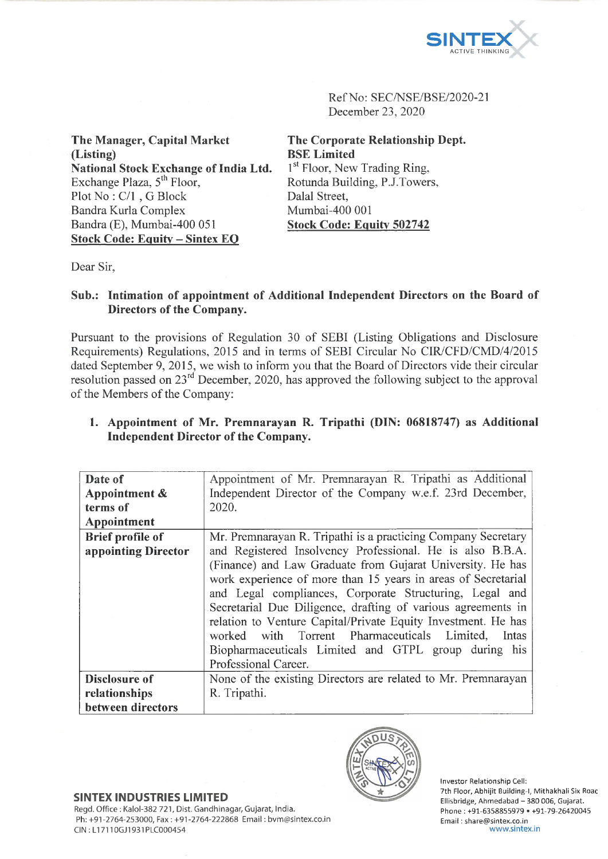

Ref No: SEC/NSE/BSE/2020-21 December 23, 2020

**The Manager, Capital Market (Listing) National Stock Exchange of India Ltd.** Exchange Plaza,  $5<sup>th</sup>$  Floor, Plot No : C/l , G Block Bandra Kurla Complex Bandra (E), Mumbai-400 051 **Stock Code: Equity - Sintex EQ**

**The Corporate Relationship Dept. BSE Limited** 1<sup>st</sup> Floor, New Trading Ring, Rotunda Building, P.J.Towers, Dalai Street, Mumbai-400 001 **Stock Code: Equity 502742**

Dear Sir,

## **Sub.: Intimation of appointment of Additional Independent Directors on the Board of Directors of the Company.**

Pursuant to the provisions of Regulation 30 of SEBI (Listing Obligations and Disclosure Requirements) Regulations, 2015 and in terms of SEBI Circular No CIR/CFD/CMD/4/2015 dated September 9, 2015, we wish to inform you that the Board of Directors vide their circular resolution passed on  $23<sup>rd</sup>$  December, 2020, has approved the following subject to the approval of the Members of the Company:

| 1. Appointment of Mr. Premnarayan R. Tripathi (DIN: 06818747) as Additional |  |  |  |  |
|-----------------------------------------------------------------------------|--|--|--|--|
| Independent Director of the Company.                                        |  |  |  |  |

| Date of                 | Appointment of Mr. Premnarayan R. Tripathi as Additional      |  |  |  |  |  |
|-------------------------|---------------------------------------------------------------|--|--|--|--|--|
| Appointment &           | Independent Director of the Company w.e.f. 23rd December,     |  |  |  |  |  |
| terms of                | 2020.                                                         |  |  |  |  |  |
| Appointment             |                                                               |  |  |  |  |  |
| <b>Brief profile of</b> | Mr. Premnarayan R. Tripathi is a practicing Company Secretary |  |  |  |  |  |
| appointing Director     | and Registered Insolvency Professional. He is also B.B.A.     |  |  |  |  |  |
|                         | (Finance) and Law Graduate from Gujarat University. He has    |  |  |  |  |  |
|                         | work experience of more than 15 years in areas of Secretarial |  |  |  |  |  |
|                         | and Legal compliances, Corporate Structuring, Legal and       |  |  |  |  |  |
|                         | Secretarial Due Diligence, drafting of various agreements in  |  |  |  |  |  |
|                         | relation to Venture Capital/Private Equity Investment. He has |  |  |  |  |  |
|                         | worked with Torrent Pharmaceuticals Limited,<br>Intas         |  |  |  |  |  |
|                         | Biopharmaceuticals Limited and GTPL group during his          |  |  |  |  |  |
|                         | Professional Career.                                          |  |  |  |  |  |
| Disclosure of           | None of the existing Directors are related to Mr. Premnarayan |  |  |  |  |  |
| relationships           | R. Tripathi.                                                  |  |  |  |  |  |
| between directors       |                                                               |  |  |  |  |  |



Investor Relationship Cell: 7th Floor, Abhijit Building-1, Mithakhali Six Roac Ellisbridge, Ahmedabad - 380 006, Gujarat. Phone : +91-6358855979 • +91-79-26420045 Email: [share@sintex.co.in](mailto:share@sintex.co.in) [www.sintex.in](http://www.sintex.in)

## **SINTEX INDUSTRIES LIMITED**

Regd. Office : Kalol-382 721, Dist. Gandhinagar, Gujarat, India. Ph: +91-2764-253000, Fax: +91-2764-222868 Email: [bvm@sintex.co.in](mailto:bvm@sintex.co.in) CIN : LI 7110GJ1931PLC000454